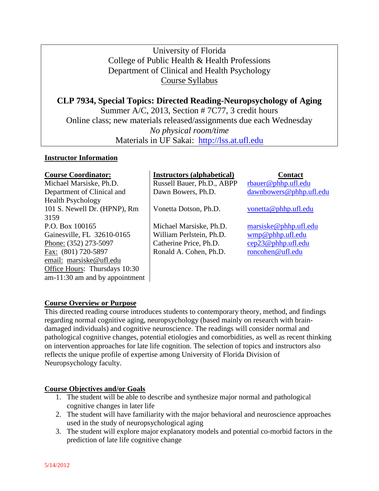# University of Florida College of Public Health & Health Professions Department of Clinical and Health Psychology Course Syllabus

**CLP 7934, Special Topics: Directed Reading-Neuropsychology of Aging** Summer A/C, 2013, Section # 7C77, 3 credit hours Online class; new materials released/assignments due each Wednesday *No physical room/time* Materials in UF Sakai: [http://lss.at.ufl.edu](http://lss.at.ufl.edu/)

### **Instructor Information**

| <b>Course Coordinator:</b>       | <b>Instructors (alphabetical)</b> | <b>Contact</b>          |
|----------------------------------|-----------------------------------|-------------------------|
| Michael Marsiske, Ph.D.          | Russell Bauer, Ph.D., ABPP        | rbauer@phhp.ufl.edu     |
| Department of Clinical and       | Dawn Bowers, Ph.D.                | dawnbowers@phhp.ufl.edu |
| <b>Health Psychology</b>         |                                   |                         |
| 101 S. Newell Dr. (HPNP), Rm     | Vonetta Dotson, Ph.D.             | vonetta@phhp.ufl.edu    |
| 3159                             |                                   |                         |
| P.O. Box 100165                  | Michael Marsiske, Ph.D.           | maxiske@phhp.ufl.edu    |
| Gainesville, FL 32610-0165       | William Perlstein, Ph.D.          | $wmp@phhp.$ ufl.edu     |
| Phone: (352) 273-5097            | Catherine Price, Ph.D.            | cep23@phhp.ufl.edu      |
| Fax: (801) 720-5897              | Ronald A. Cohen, Ph.D.            | roncohen@ufl.edu        |
| email: marsiske@ufl.edu          |                                   |                         |
| Office Hours: Thursdays 10:30    |                                   |                         |
| $am-11:30$ am and by appointment |                                   |                         |

# **Course Overview or Purpose**

This directed reading course introduces students to contemporary theory, method, and findings regarding normal cognitive aging, neuropsychology (based mainly on research with braindamaged individuals) and cognitive neuroscience. The readings will consider normal and pathological cognitive changes, potential etiologies and comorbidities, as well as recent thinking on intervention approaches for late life cognition. The selection of topics and instructors also reflects the unique profile of expertise among University of Florida Division of Neuropsychology faculty.

# **Course Objectives and/or Goals**

- 1. The student will be able to describe and synthesize major normal and pathological cognitive changes in later life
- 2. The student will have familiarity with the major behavioral and neuroscience approaches used in the study of neuropsychological aging
- 3. The student will explore major explanatory models and potential co-morbid factors in the prediction of late life cognitive change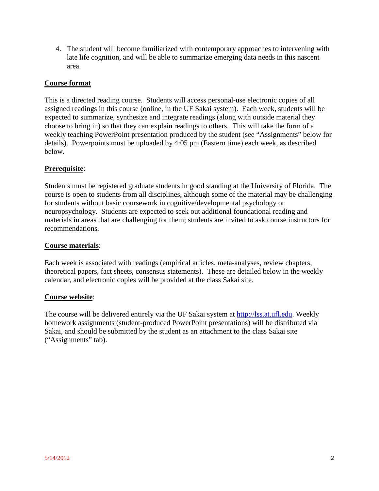4. The student will become familiarized with contemporary approaches to intervening with late life cognition, and will be able to summarize emerging data needs in this nascent area.

### **Course format**

This is a directed reading course. Students will access personal-use electronic copies of all assigned readings in this course (online, in the UF Sakai system). Each week, students will be expected to summarize, synthesize and integrate readings (along with outside material they choose to bring in) so that they can explain readings to others. This will take the form of a weekly teaching PowerPoint presentation produced by the student (see "Assignments" below for details). Powerpoints must be uploaded by 4:05 pm (Eastern time) each week, as described below.

### **Prerequisite**:

Students must be registered graduate students in good standing at the University of Florida. The course is open to students from all disciplines, although some of the material may be challenging for students without basic coursework in cognitive/developmental psychology or neuropsychology. Students are expected to seek out additional foundational reading and materials in areas that are challenging for them; students are invited to ask course instructors for recommendations.

#### **Course materials**:

Each week is associated with readings (empirical articles, meta-analyses, review chapters, theoretical papers, fact sheets, consensus statements). These are detailed below in the weekly calendar, and electronic copies will be provided at the class Sakai site.

#### **Course website**:

The course will be delivered entirely via the UF Sakai system at [http://lss.at.ufl.edu.](http://lss.at.ufl.edu/) Weekly homework assignments (student-produced PowerPoint presentations) will be distributed via Sakai, and should be submitted by the student as an attachment to the class Sakai site ("Assignments" tab).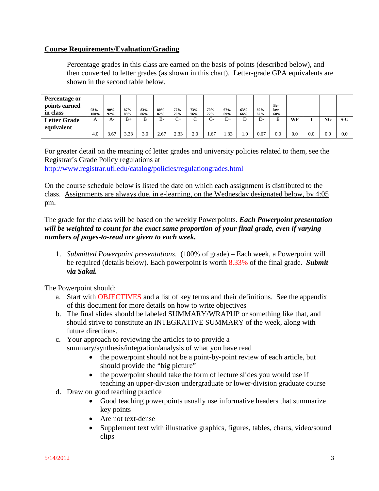### **Course Requirements/Evaluation/Grading**

Percentage grades in this class are earned on the basis of points (described below), and then converted to letter grades (as shown in this chart). Letter-grade GPA equivalents are shown in the second table below.

| <b>Percentage or</b><br>points earned<br>in class | $93% -$<br>100% | $90% -$<br>92% | $87% -$<br>89% | $83% -$<br>86% | $80% -$<br>82% | $77% -$<br>79% | $73% -$<br>76% | $70% -$<br>72%                 | $67% -$<br>69% | $63% -$<br>66% | $60% -$<br>62% | Be-<br>low<br>60% |     |     |           |     |
|---------------------------------------------------|-----------------|----------------|----------------|----------------|----------------|----------------|----------------|--------------------------------|----------------|----------------|----------------|-------------------|-----|-----|-----------|-----|
| <b>Letter Grade</b>                               |                 | A-             | $B+$           | B              | $B -$          | $\mathbf{C}^+$ |                | $\overline{\phantom{1}}$<br>∪− | $D+$           |                | D-             | Е                 | WF  |     | <b>NG</b> | S-U |
| equivalent                                        |                 |                |                |                |                |                |                |                                |                |                |                |                   |     |     |           |     |
|                                                   | 4.0             | 3.67           | 3.33           | 3.0            | 2.67           | 2.33           | 2.0            | 67                             | 1.33           | 1.0            | 0.67           | 0.0               | 0.0 | 0.0 | 0.0       | 0.0 |

For greater detail on the meaning of letter grades and university policies related to them, see the Registrar's Grade Policy regulations at <http://www.registrar.ufl.edu/catalog/policies/regulationgrades.html>

On the course schedule below is listed the date on which each assignment is distributed to the class. Assignments are always due, in e-learning, on the Wednesday designated below, by 4:05 pm.

The grade for the class will be based on the weekly Powerpoints. *Each Powerpoint presentation will be weighted to count for the exact same proportion of your final grade, even if varying numbers of pages-to-read are given to each week.* 

1. *Submitted Powerpoint presentations*. (100% of grade) – Each week, a Powerpoint will be required (details below). Each powerpoint is worth 8.33% of the final grade. *Submit via Sakai.*

The Powerpoint should:

- a. Start with OBJECTIVES and a list of key terms and their definitions. See the appendix of this document for more details on how to write objectives
- b. The final slides should be labeled SUMMARY/WRAPUP or something like that, and should strive to constitute an INTEGRATIVE SUMMARY of the week, along with future directions.
- c. Your approach to reviewing the articles to to provide a summary/synthesis/integration/analysis of what you have read
	- the powerpoint should not be a point-by-point review of each article, but should provide the "big picture"
	- the powerpoint should take the form of lecture slides you would use if teaching an upper-division undergraduate or lower-division graduate course
- d. Draw on good teaching practice
	- Good teaching powerpoints usually use informative headers that summarize key points
	- Are not text-dense
	- Supplement text with illustrative graphics, figures, tables, charts, video/sound clips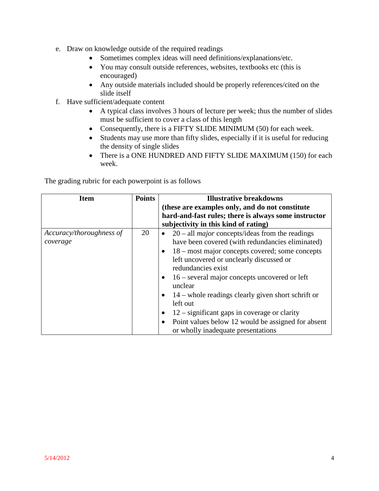- e. Draw on knowledge outside of the required readings
	- Sometimes complex ideas will need definitions/explanations/etc.
	- You may consult outside references, websites, textbooks etc (this is encouraged)
	- Any outside materials included should be properly references/cited on the slide itself
- f. Have sufficient/adequate content
	- A typical class involves 3 hours of lecture per week; thus the number of slides must be sufficient to cover a class of this length
	- Consequently, there is a FIFTY SLIDE MINIMUM (50) for each week.
	- Students may use more than fifty slides, especially if it is useful for reducing the density of single slides
	- There is a ONE HUNDRED AND FIFTY SLIDE MAXIMUM (150) for each week.

The grading rubric for each powerpoint is as follows

| <b>Item</b>                          | <b>Points</b> | <b>Illustrative breakdowns</b>                                                                                                                                                                                                                                                                                                                                                                                                                                                                                                                                                     |
|--------------------------------------|---------------|------------------------------------------------------------------------------------------------------------------------------------------------------------------------------------------------------------------------------------------------------------------------------------------------------------------------------------------------------------------------------------------------------------------------------------------------------------------------------------------------------------------------------------------------------------------------------------|
|                                      |               | (these are examples only, and do not constitute                                                                                                                                                                                                                                                                                                                                                                                                                                                                                                                                    |
|                                      |               | hard-and-fast rules; there is always some instructor                                                                                                                                                                                                                                                                                                                                                                                                                                                                                                                               |
|                                      |               | subjectivity in this kind of rating)                                                                                                                                                                                                                                                                                                                                                                                                                                                                                                                                               |
| Accuracy/thoroughness of<br>coverage | 20            | $20$ – all <i>major</i> concepts/ideas from the readings<br>$\bullet$<br>have been covered (with redundancies eliminated)<br>$\bullet$ 18 – most major concepts covered; some concepts<br>left uncovered or unclearly discussed or<br>redundancies exist<br>$16$ – several major concepts uncovered or left<br>$\bullet$<br>unclear<br>14 – whole readings clearly given short schrift or<br>$\bullet$<br>left out<br>$12$ – significant gaps in coverage or clarity<br>٠<br>Point values below 12 would be assigned for absent<br>$\bullet$<br>or wholly inadequate presentations |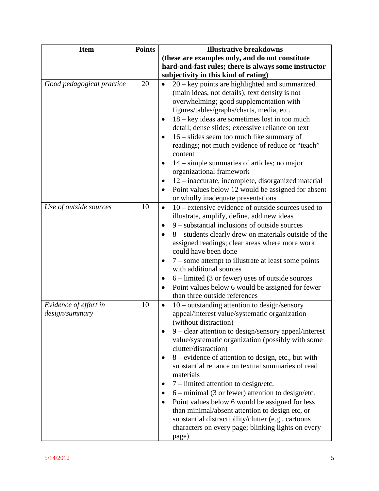| <b>Item</b>                             | <b>Points</b> | <b>Illustrative breakdowns</b>                                                                                                                                                                                                                                                                                                                                                                                                                                                                                                                                                                                                                                                                                                                                                                  |
|-----------------------------------------|---------------|-------------------------------------------------------------------------------------------------------------------------------------------------------------------------------------------------------------------------------------------------------------------------------------------------------------------------------------------------------------------------------------------------------------------------------------------------------------------------------------------------------------------------------------------------------------------------------------------------------------------------------------------------------------------------------------------------------------------------------------------------------------------------------------------------|
|                                         |               | (these are examples only, and do not constitute                                                                                                                                                                                                                                                                                                                                                                                                                                                                                                                                                                                                                                                                                                                                                 |
|                                         |               | hard-and-fast rules; there is always some instructor                                                                                                                                                                                                                                                                                                                                                                                                                                                                                                                                                                                                                                                                                                                                            |
|                                         |               | subjectivity in this kind of rating)                                                                                                                                                                                                                                                                                                                                                                                                                                                                                                                                                                                                                                                                                                                                                            |
| Good pedagogical practice               | 20            | $20 - \text{key}$ points are highlighted and summarized<br>$\bullet$<br>(main ideas, not details); text density is not<br>overwhelming; good supplementation with<br>figures/tables/graphs/charts, media, etc.<br>$18 - \text{key}$ ideas are sometimes lost in too much<br>$\bullet$<br>detail; dense slides; excessive reliance on text<br>$16$ – slides seem too much like summary of<br>$\bullet$<br>readings; not much evidence of reduce or "teach"<br>content<br>$14$ – simple summaries of articles; no major<br>organizational framework<br>12 – inaccurate, incomplete, disorganized material<br>$\bullet$<br>Point values below 12 would be assigned for absent<br>$\bullet$<br>or wholly inadequate presentations                                                                   |
| Use of outside sources                  | 10            | $10$ – extensive evidence of outside sources used to<br>$\bullet$<br>illustrate, amplify, define, add new ideas<br>9 – substantial inclusions of outside sources<br>٠<br>8 – students clearly drew on materials outside of the<br>assigned readings; clear areas where more work<br>could have been done<br>7 – some attempt to illustrate at least some points<br>$\bullet$<br>with additional sources<br>$6$ – limited (3 or fewer) uses of outside sources<br>$\bullet$<br>Point values below 6 would be assigned for fewer<br>$\bullet$<br>than three outside references                                                                                                                                                                                                                    |
| Evidence of effort in<br>design/summary | 10            | $10$ – outstanding attention to design/sensory<br>$\bullet$<br>appeal/interest value/systematic organization<br>(without distraction)<br>9 - clear attention to design/sensory appeal/interest<br>$\bullet$<br>value/systematic organization (possibly with some<br>clutter/distraction)<br>8 - evidence of attention to design, etc., but with<br>٠<br>substantial reliance on textual summaries of read<br>materials<br>7 – limited attention to design/etc.<br>$\bullet$<br>$6 - \text{minimal}$ (3 or fewer) attention to design/etc.<br>$\bullet$<br>Point values below 6 would be assigned for less<br>$\bullet$<br>than minimal/absent attention to design etc, or<br>substantial distractibility/clutter (e.g., cartoons<br>characters on every page; blinking lights on every<br>page) |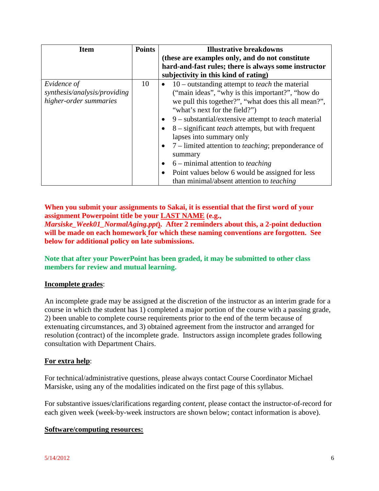| <b>Item</b>                                                           | <b>Points</b> | <b>Illustrative breakdowns</b><br>(these are examples only, and do not constitute                                                                                                                                                                                                                                                                                                                                                                                                                                                                                                                                                                                       |
|-----------------------------------------------------------------------|---------------|-------------------------------------------------------------------------------------------------------------------------------------------------------------------------------------------------------------------------------------------------------------------------------------------------------------------------------------------------------------------------------------------------------------------------------------------------------------------------------------------------------------------------------------------------------------------------------------------------------------------------------------------------------------------------|
|                                                                       |               | hard-and-fast rules; there is always some instructor<br>subjectivity in this kind of rating)                                                                                                                                                                                                                                                                                                                                                                                                                                                                                                                                                                            |
| Evidence of<br>synthesis/analysis/providing<br>higher-order summaries | 10            | $10$ – outstanding attempt to <i>teach</i> the material<br>$\bullet$<br>("main ideas", "why is this important?", "how do<br>we pull this together?", "what does this all mean?",<br>"what's next for the field?")<br>9 – substantial/extensive attempt to <i>teach</i> material<br>$\bullet$<br>8 – significant <i>teach</i> attempts, but with frequent<br>$\bullet$<br>lapses into summary only<br>7 – limited attention to <i>teaching</i> ; preponderance of<br>$\bullet$<br>summary<br>$6$ – minimal attention to <i>teaching</i><br>$\bullet$<br>Point values below 6 would be assigned for less<br>$\bullet$<br>than minimal/absent attention to <i>teaching</i> |

# **When you submit your assignments to Sakai, it is essential that the first word of your assignment Powerpoint title be your LAST NAME (e.g.,**

*Marsiske\_Week01\_NormalAging.ppt***). After 2 reminders about this, a 2-point deduction will be made on each homework for which these naming conventions are forgotten. See below for additional policy on late submissions.**

**Note that after your PowerPoint has been graded, it may be submitted to other class members for review and mutual learning.**

# **Incomplete grades**:

An incomplete grade may be assigned at the discretion of the instructor as an interim grade for a course in which the student has 1) completed a major portion of the course with a passing grade, 2) been unable to complete course requirements prior to the end of the term because of extenuating circumstances, and 3) obtained agreement from the instructor and arranged for resolution (contract) of the incomplete grade. Instructors assign incomplete grades following consultation with Department Chairs.

# **For extra help**:

For technical/administrative questions, please always contact Course Coordinator Michael Marsiske, using any of the modalities indicated on the first page of this syllabus.

For substantive issues/clarifications regarding *content*, please contact the instructor-of-record for each given week (week-by-week instructors are shown below; contact information is above).

## **Software/computing resources:**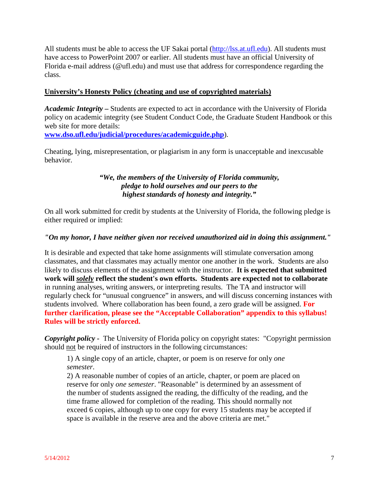All students must be able to access the UF Sakai portal [\(http://lss.at.ufl.edu\)](http://lss.at.ufl.edu/). All students must have access to PowerPoint 2007 or earlier. All students must have an official University of Florida e-mail address (@ufl.edu) and must use that address for correspondence regarding the class.

### **University's Honesty Policy (cheating and use of copyrighted materials)**

*Academic Integrity –* Students are expected to act in accordance with the University of Florida policy on academic integrity (see Student Conduct Code, the Graduate Student Handbook or this web site for more details:

**[www.dso.ufl.edu/judicial/procedures/academicguide.php](http://www.dso.ufl.edu/judicial/procedures/academicguide.php)**).

Cheating, lying, misrepresentation, or plagiarism in any form is unacceptable and inexcusable behavior.

# *"We, the members of the University of Florida community, pledge to hold ourselves and our peers to the highest standards of honesty and integrity."*

On all work submitted for credit by students at the University of Florida, the following pledge is either required or implied:

### *"On my honor, I have neither given nor received unauthorized aid in doing this assignment."*

It is desirable and expected that take home assignments will stimulate conversation among classmates, and that classmates may actually mentor one another in the work. Students are also likely to discuss elements of the assignment with the instructor. **It is expected that submitted work will** *solely* **reflect the student's own efforts. Students are expected not to collaborate** in running analyses, writing answers, or interpreting results. The TA and instructor will regularly check for "unusual congruence" in answers, and will discuss concerning instances with students involved. Where collaboration has been found, a zero grade will be assigned. **For further clarification, please see the "Acceptable Collaboration" appendix to this syllabus! Rules will be strictly enforced.**

*Copyright policy -* The University of Florida policy on copyright states: "Copyright permission should not be required of instructors in the following circumstances:

1) A single copy of an article, chapter, or poem is on reserve for only *one semester*.

2) A reasonable number of copies of an article, chapter, or poem are placed on reserve for only *one semester*. "Reasonable" is determined by an assessment of the number of students assigned the reading, the difficulty of the reading, and the time frame allowed for completion of the reading. This should normally not exceed 6 copies, although up to one copy for every 15 students may be accepted if space is available in the reserve area and the above criteria are met."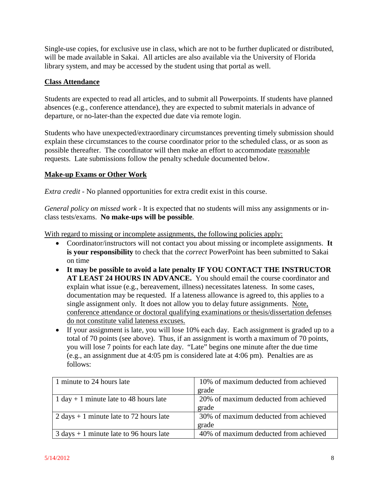Single-use copies, for exclusive use in class, which are not to be further duplicated or distributed, will be made available in Sakai. All articles are also available via the University of Florida library system, and may be accessed by the student using that portal as well.

## **Class Attendance**

Students are expected to read all articles, and to submit all Powerpoints. If students have planned absences (e.g., conference attendance), they are expected to submit materials in advance of departure, or no-later-than the expected due date via remote login.

Students who have unexpected/extraordinary circumstances preventing timely submission should explain these circumstances to the course coordinator prior to the scheduled class, or as soon as possible thereafter. The coordinator will then make an effort to accommodate reasonable requests. Late submissions follow the penalty schedule documented below.

### **Make-up Exams or Other Work**

*Extra credit* - No planned opportunities for extra credit exist in this course.

*General policy on missed work* - It is expected that no students will miss any assignments or inclass tests/exams. **No make-ups will be possible**.

With regard to missing or incomplete assignments, the following policies apply:

- Coordinator/instructors will not contact you about missing or incomplete assignments. **It is your responsibility** to check that the *correct* PowerPoint has been submitted to Sakai on time
- **It may be possible to avoid a late penalty IF YOU CONTACT THE INSTRUCTOR AT LEAST 24 HOURS IN ADVANCE.** You should email the course coordinator and explain what issue (e.g., bereavement, illness) necessitates lateness. In some cases, documentation may be requested. If a lateness allowance is agreed to, this applies to a single assignment only. It does not allow you to delay future assignments. Note, conference attendance or doctoral qualifying examinations or thesis/dissertation defenses do not constitute valid lateness excuses.
- If your assignment is late, you will lose 10% each day. Each assignment is graded up to a total of 70 points (see above). Thus, if an assignment is worth a maximum of 70 points, you will lose 7 points for each late day. "Late" begins one minute after the due time (e.g., an assignment due at 4:05 pm is considered late at 4:06 pm). Penalties are as follows:

| 1 minute to 24 hours late                                 | 10% of maximum deducted from achieved |
|-----------------------------------------------------------|---------------------------------------|
|                                                           | grade                                 |
| 1 day + 1 minute late to 48 hours late                    | 20% of maximum deducted from achieved |
|                                                           | grade                                 |
| 2 days $+ 1$ minute late to 72 hours late                 | 30% of maximum deducted from achieved |
|                                                           | grade                                 |
| $3 \text{ days} + 1 \text{ minute}$ late to 96 hours late | 40% of maximum deducted from achieved |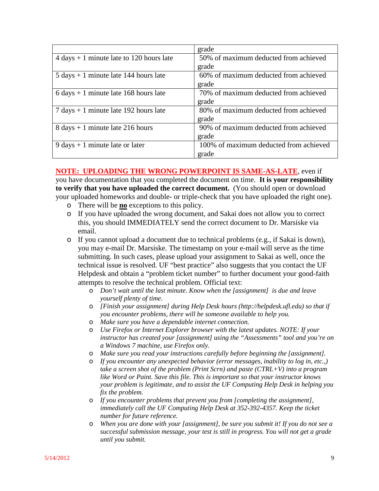|                                                            | grade                                  |
|------------------------------------------------------------|----------------------------------------|
| $4 \text{ days} + 1 \text{ minute}$ late to 120 hours late | 50% of maximum deducted from achieved  |
|                                                            | grade                                  |
| $5 \text{ days} + 1 \text{ minute}$ late 144 hours late    | 60% of maximum deducted from achieved  |
|                                                            | grade                                  |
| $6 \text{ days} + 1 \text{ minute}$ late 168 hours late    | 70% of maximum deducted from achieved  |
|                                                            | grade                                  |
| $7 \text{ days} + 1 \text{ minute}$ late 192 hours late    | 80% of maximum deducted from achieved  |
|                                                            | grade                                  |
| $8 \text{ days} + 1 \text{ minute}$ late 216 hours         | 90% of maximum deducted from achieved  |
|                                                            | grade                                  |
| $9 \text{ days} + 1 \text{ minute}$ late or later          | 100% of maximum deducted from achieved |
|                                                            | grade                                  |

# **NOTE: UPLOADING THE WRONG POWERPOINT IS SAME-AS-LATE**, even if

you have documentation that you completed the document on time. **It is your responsibility to verify that you have uploaded the correct document.** (You should open or download your uploaded homeworks and double- or triple-check that you have uploaded the right one).

- o There will be **no** exceptions to this policy.
- o If you have uploaded the wrong document, and Sakai does not allow you to correct this, you should IMMEDIATELY send the correct document to Dr. Marsiske via email.
- o If you cannot upload a document due to technical problems (e.g., if Sakai is down), you may e-mail Dr. Marsiske. The timestamp on your e-mail will serve as the time submitting. In such cases, please upload your assignment to Sakai as well, once the technical issue is resolved. UF "best practice" also suggests that you contact the UF Helpdesk and obtain a "problem ticket number" to further document your good-faith attempts to resolve the technical problem. Official text:
	- o *Don't wait until the last minute. Know when the [assignment] is due and leave yourself plenty of time.*
	- o *[Finish your assignment] during Help Desk hours (http://helpdesk.ufl.edu) so that if you encounter problems, there will be someone available to help you.*
	- o *Make sure you have a dependable internet connection.*
	- o *Use Firefox or Internet Explorer browser with the latest updates. NOTE: If your instructor has created your [assignment] using the "Assessments" tool and you're on a Windows 7 machine, use Firefox only.*
	- o *Make sure you read your instructions carefully before beginning the [assignment].*
	- o *If you encounter any unexpected behavior (error messages, inability to log in, etc.,) take a screen shot of the problem (Print Scrn) and paste (CTRL+V) into a program like Word or Paint. Save this file. This is important so that your instructor knows your problem is legitimate, and to assist the UF Computing Help Desk in helping you fix the problem.*
	- o *If you encounter problems that prevent you from [completing the assignment], immediately call the UF Computing Help Desk at 352-392-4357. Keep the ticket number for future reference.*
	- o *When you are done with your [assignment], be sure you submit it! If you do not see a successful submission message, your test is still in progress. You will not get a grade until you submit.*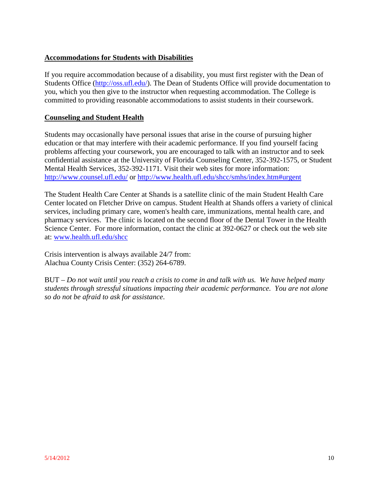# **Accommodations for Students with Disabilities**

If you require accommodation because of a disability, you must first register with the Dean of Students Office [\(http://oss.ufl.edu/\)](http://oss.ufl.edu/). The Dean of Students Office will provide documentation to you, which you then give to the instructor when requesting accommodation. The College is committed to providing reasonable accommodations to assist students in their coursework.

#### **Counseling and Student Health**

Students may occasionally have personal issues that arise in the course of pursuing higher education or that may interfere with their academic performance. If you find yourself facing problems affecting your coursework, you are encouraged to talk with an instructor and to seek confidential assistance at the University of Florida Counseling Center, 352-392-1575, or Student Mental Health Services, 352-392-1171. Visit their web sites for more information: <http://www.counsel.ufl.edu/> or<http://www.health.ufl.edu/shcc/smhs/index.htm#urgent>

The Student Health Care Center at Shands is a satellite clinic of the main Student Health Care Center located on Fletcher Drive on campus. Student Health at Shands offers a variety of clinical services, including primary care, women's health care, immunizations, mental health care, and pharmacy services. The clinic is located on the second floor of the Dental Tower in the Health Science Center. For more information, contact the clinic at 392-0627 or check out the web site at: [www.health.ufl.edu/shcc](http://www.health.ufl.edu/shcc)

Crisis intervention is always available 24/7 from: Alachua County Crisis Center: (352) 264-6789.

BUT – *Do not wait until you reach a crisis to come in and talk with us. We have helped many students through stressful situations impacting their academic performance. You are not alone so do not be afraid to ask for assistance*.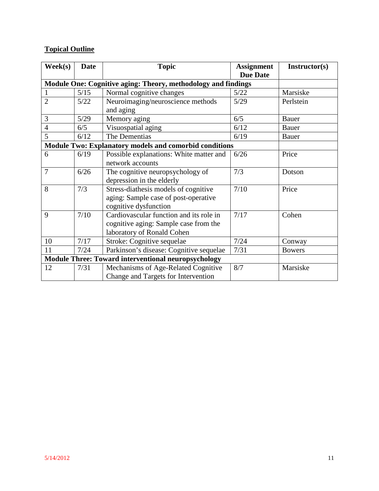# **Topical Outline**

| $\textbf{Week}(s)$                                            | <b>Date</b> | <b>Topic</b>                                                                                                   | <b>Assignment</b> | Instructor(s) |
|---------------------------------------------------------------|-------------|----------------------------------------------------------------------------------------------------------------|-------------------|---------------|
|                                                               |             |                                                                                                                | <b>Due Date</b>   |               |
| Module One: Cognitive aging: Theory, methodology and findings |             |                                                                                                                |                   |               |
|                                                               | 5/15        | Normal cognitive changes                                                                                       | 5/22              | Marsiske      |
| $\overline{2}$                                                | 5/22        | Neuroimaging/neuroscience methods<br>and aging                                                                 | 5/29              | Perlstein     |
| 3                                                             | 5/29        | Memory aging                                                                                                   | 6/5               | <b>Bauer</b>  |
| $\overline{4}$                                                | 6/5         | Visuospatial aging                                                                                             | 6/12              | <b>Bauer</b>  |
| 5                                                             | 6/12        | The Dementias                                                                                                  | 6/19              | Bauer         |
|                                                               |             | <b>Module Two: Explanatory models and comorbid conditions</b>                                                  |                   |               |
| 6                                                             | 6/19        | Possible explanations: White matter and<br>network accounts                                                    | 6/26              | Price         |
| $\overline{7}$                                                | 6/26        | The cognitive neuropsychology of<br>depression in the elderly                                                  | 7/3               | Dotson        |
| 8                                                             | 7/3         | Stress-diathesis models of cognitive<br>aging: Sample case of post-operative<br>cognitive dysfunction          | 7/10              | Price         |
| 9                                                             | 7/10        | Cardiovascular function and its role in<br>cognitive aging: Sample case from the<br>laboratory of Ronald Cohen | 7/17              | Cohen         |
| 10                                                            | 7/17        | Stroke: Cognitive sequelae                                                                                     | 7/24              | Conway        |
| 11                                                            | 7/24        | Parkinson's disease: Cognitive sequelae                                                                        | 7/31              | <b>Bowers</b> |
|                                                               |             | <b>Module Three: Toward interventional neuropsychology</b>                                                     |                   |               |
| 12                                                            | 7/31        | Mechanisms of Age-Related Cognitive<br>Change and Targets for Intervention                                     | 8/7               | Marsiske      |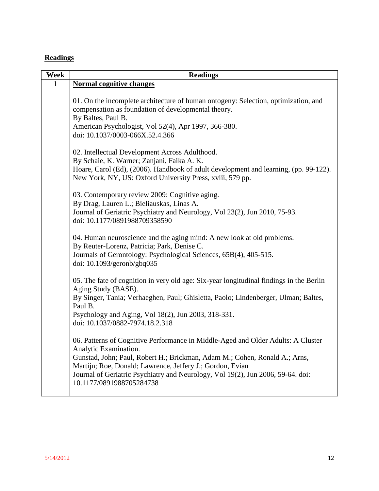# **Readings**

| Week         | <b>Readings</b>                                                                                                                                                                                                                                                                                                                                                     |
|--------------|---------------------------------------------------------------------------------------------------------------------------------------------------------------------------------------------------------------------------------------------------------------------------------------------------------------------------------------------------------------------|
| $\mathbf{1}$ | <b>Normal cognitive changes</b>                                                                                                                                                                                                                                                                                                                                     |
|              | 01. On the incomplete architecture of human ontogeny: Selection, optimization, and<br>compensation as foundation of developmental theory.<br>By Baltes, Paul B.<br>American Psychologist, Vol 52(4), Apr 1997, 366-380.<br>doi: 10.1037/0003-066X.52.4.366                                                                                                          |
|              | 02. Intellectual Development Across Adulthood.<br>By Schaie, K. Warner; Zanjani, Faika A. K.<br>Hoare, Carol (Ed), (2006). Handbook of adult development and learning, (pp. 99-122).<br>New York, NY, US: Oxford University Press, xviii, 579 pp.                                                                                                                   |
|              | 03. Contemporary review 2009: Cognitive aging.<br>By Drag, Lauren L.; Bieliauskas, Linas A.<br>Journal of Geriatric Psychiatry and Neurology, Vol 23(2), Jun 2010, 75-93.<br>doi: 10.1177/0891988709358590                                                                                                                                                          |
|              | 04. Human neuroscience and the aging mind: A new look at old problems.<br>By Reuter-Lorenz, Patricia; Park, Denise C.<br>Journals of Gerontology: Psychological Sciences, 65B(4), 405-515.<br>doi: $10.1093$ /geronb/gbq035                                                                                                                                         |
|              | 05. The fate of cognition in very old age: Six-year longitudinal findings in the Berlin<br>Aging Study (BASE).<br>By Singer, Tania; Verhaeghen, Paul; Ghisletta, Paolo; Lindenberger, Ulman; Baltes,<br>Paul B.<br>Psychology and Aging, Vol 18(2), Jun 2003, 318-331.<br>doi: 10.1037/0882-7974.18.2.318                                                           |
|              | 06. Patterns of Cognitive Performance in Middle-Aged and Older Adults: A Cluster<br>Analytic Examination.<br>Gunstad, John; Paul, Robert H.; Brickman, Adam M.; Cohen, Ronald A.; Arns,<br>Martijn; Roe, Donald; Lawrence, Jeffery J.; Gordon, Evian<br>Journal of Geriatric Psychiatry and Neurology, Vol 19(2), Jun 2006, 59-64. doi:<br>10.1177/0891988705284738 |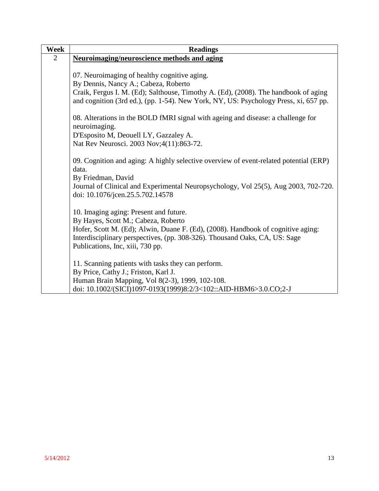| Week           | <b>Readings</b>                                                                                   |
|----------------|---------------------------------------------------------------------------------------------------|
| $\overline{2}$ | <b>Neuroimaging/neuroscience methods and aging</b>                                                |
|                |                                                                                                   |
|                | 07. Neuroimaging of healthy cognitive aging.                                                      |
|                | By Dennis, Nancy A.; Cabeza, Roberto                                                              |
|                | Craik, Fergus I. M. (Ed); Salthouse, Timothy A. (Ed), (2008). The handbook of aging               |
|                | and cognition (3rd ed.), (pp. 1-54). New York, NY, US: Psychology Press, xi, 657 pp.              |
|                | 08. Alterations in the BOLD fMRI signal with ageing and disease: a challenge for<br>neuroimaging. |
|                | D'Esposito M, Deouell LY, Gazzaley A.                                                             |
|                | Nat Rev Neurosci. 2003 Nov; 4(11): 863-72.                                                        |
|                |                                                                                                   |
|                | 09. Cognition and aging: A highly selective overview of event-related potential (ERP)             |
|                | data.                                                                                             |
|                | By Friedman, David                                                                                |
|                | Journal of Clinical and Experimental Neuropsychology, Vol 25(5), Aug 2003, 702-720.               |
|                | doi: 10.1076/jcen.25.5.702.14578                                                                  |
|                | 10. Imaging aging: Present and future.                                                            |
|                | By Hayes, Scott M.; Cabeza, Roberto                                                               |
|                | Hofer, Scott M. (Ed); Alwin, Duane F. (Ed), (2008). Handbook of cognitive aging:                  |
|                | Interdisciplinary perspectives, (pp. 308-326). Thousand Oaks, CA, US: Sage                        |
|                | Publications, Inc, xiii, 730 pp.                                                                  |
|                |                                                                                                   |
|                | 11. Scanning patients with tasks they can perform.                                                |
|                | By Price, Cathy J.; Friston, Karl J.                                                              |
|                | Human Brain Mapping, Vol 8(2-3), 1999, 102-108.                                                   |
|                | doi: 10.1002/(SICI)1097-0193(1999)8:2/3<102::AID-HBM6>3.0.CO;2-J                                  |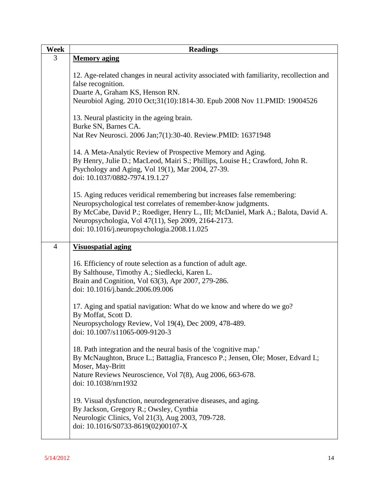| Week           | <b>Readings</b>                                                                                                                                                                                                                                                                                                                      |
|----------------|--------------------------------------------------------------------------------------------------------------------------------------------------------------------------------------------------------------------------------------------------------------------------------------------------------------------------------------|
| 3              | <b>Memory aging</b>                                                                                                                                                                                                                                                                                                                  |
|                | 12. Age-related changes in neural activity associated with familiarity, recollection and<br>false recognition.                                                                                                                                                                                                                       |
|                | Duarte A, Graham KS, Henson RN.<br>Neurobiol Aging. 2010 Oct;31(10):1814-30. Epub 2008 Nov 11.PMID: 19004526                                                                                                                                                                                                                         |
|                | 13. Neural plasticity in the ageing brain.<br>Burke SN, Barnes CA.                                                                                                                                                                                                                                                                   |
|                | Nat Rev Neurosci. 2006 Jan; 7(1): 30-40. Review. PMID: 16371948                                                                                                                                                                                                                                                                      |
|                | 14. A Meta-Analytic Review of Prospective Memory and Aging.<br>By Henry, Julie D.; MacLeod, Mairi S.; Phillips, Louise H.; Crawford, John R.<br>Psychology and Aging, Vol 19(1), Mar 2004, 27-39.<br>doi: 10.1037/0882-7974.19.1.27                                                                                                  |
|                | 15. Aging reduces veridical remembering but increases false remembering:<br>Neuropsychological test correlates of remember-know judgments.<br>By McCabe, David P.; Roediger, Henry L., III; McDaniel, Mark A.; Balota, David A.<br>Neuropsychologia, Vol 47(11), Sep 2009, 2164-2173.<br>doi: 10.1016/j.neuropsychologia.2008.11.025 |
| $\overline{4}$ | <b>Visuospatial aging</b>                                                                                                                                                                                                                                                                                                            |
|                | 16. Efficiency of route selection as a function of adult age.<br>By Salthouse, Timothy A.; Siedlecki, Karen L.<br>Brain and Cognition, Vol 63(3), Apr 2007, 279-286.<br>doi: 10.1016/j.bandc.2006.09.006                                                                                                                             |
|                | 17. Aging and spatial navigation: What do we know and where do we go?<br>By Moffat, Scott D.<br>Neuropsychology Review, Vol 19(4), Dec 2009, 478-489.                                                                                                                                                                                |
|                | doi: 10.1007/s11065-009-9120-3                                                                                                                                                                                                                                                                                                       |
|                | 18. Path integration and the neural basis of the 'cognitive map.'<br>By McNaughton, Bruce L.; Battaglia, Francesco P.; Jensen, Ole; Moser, Edvard I.;<br>Moser, May-Britt<br>Nature Reviews Neuroscience, Vol 7(8), Aug 2006, 663-678.<br>doi: 10.1038/nrn1932                                                                       |
|                | 19. Visual dysfunction, neurodegenerative diseases, and aging.<br>By Jackson, Gregory R.; Owsley, Cynthia<br>Neurologic Clinics, Vol 21(3), Aug 2003, 709-728.<br>doi: 10.1016/S0733-8619(02)00107-X                                                                                                                                 |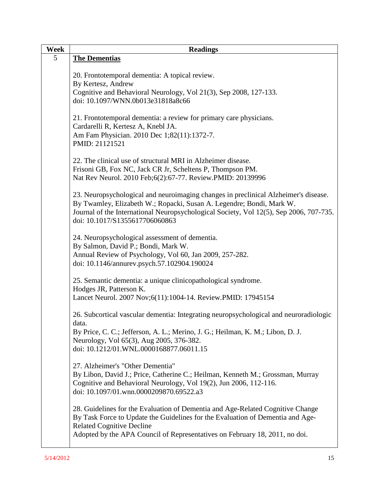| Week | <b>Readings</b>                                                                                                                                                                                                                                                                         |
|------|-----------------------------------------------------------------------------------------------------------------------------------------------------------------------------------------------------------------------------------------------------------------------------------------|
| 5    | <b>The Dementias</b>                                                                                                                                                                                                                                                                    |
|      | 20. Frontotemporal dementia: A topical review.<br>By Kertesz, Andrew                                                                                                                                                                                                                    |
|      | Cognitive and Behavioral Neurology, Vol 21(3), Sep 2008, 127-133.<br>doi: 10.1097/WNN.0b013e31818a8c66                                                                                                                                                                                  |
|      | 21. Frontotemporal dementia: a review for primary care physicians.<br>Cardarelli R, Kertesz A, Knebl JA.<br>Am Fam Physician. 2010 Dec 1;82(11):1372-7.<br>PMID: 21121521                                                                                                               |
|      | 22. The clinical use of structural MRI in Alzheimer disease.<br>Frisoni GB, Fox NC, Jack CR Jr, Scheltens P, Thompson PM.<br>Nat Rev Neurol. 2010 Feb; 6(2): 67-77. Review. PMID: 20139996                                                                                              |
|      | 23. Neuropsychological and neuroimaging changes in preclinical Alzheimer's disease.<br>By Twamley, Elizabeth W.; Ropacki, Susan A. Legendre; Bondi, Mark W.<br>Journal of the International Neuropsychological Society, Vol 12(5), Sep 2006, 707-735.<br>doi: 10.1017/S1355617706060863 |
|      | 24. Neuropsychological assessment of dementia.<br>By Salmon, David P.; Bondi, Mark W.<br>Annual Review of Psychology, Vol 60, Jan 2009, 257-282.<br>doi: 10.1146/annurev.psych.57.102904.190024                                                                                         |
|      | 25. Semantic dementia: a unique clinicopathological syndrome.<br>Hodges JR, Patterson K.<br>Lancet Neurol. 2007 Nov;6(11):1004-14. Review.PMID: 17945154                                                                                                                                |
|      | 26. Subcortical vascular dementia: Integrating neuropsychological and neuroradiologic<br>data.                                                                                                                                                                                          |
|      | By Price, C. C.; Jefferson, A. L.; Merino, J. G.; Heilman, K. M.; Libon, D. J.<br>Neurology, Vol 65(3), Aug 2005, 376-382.<br>doi: 10.1212/01.WNL.0000168877.06011.15                                                                                                                   |
|      | 27. Alzheimer's "Other Dementia"<br>By Libon, David J.; Price, Catherine C.; Heilman, Kenneth M.; Grossman, Murray<br>Cognitive and Behavioral Neurology, Vol 19(2), Jun 2006, 112-116.<br>doi: 10.1097/01.wnn.0000209870.69522.a3                                                      |
|      | 28. Guidelines for the Evaluation of Dementia and Age-Related Cognitive Change<br>By Task Force to Update the Guidelines for the Evaluation of Dementia and Age-<br><b>Related Cognitive Decline</b><br>Adopted by the APA Council of Representatives on February 18, 2011, no doi.     |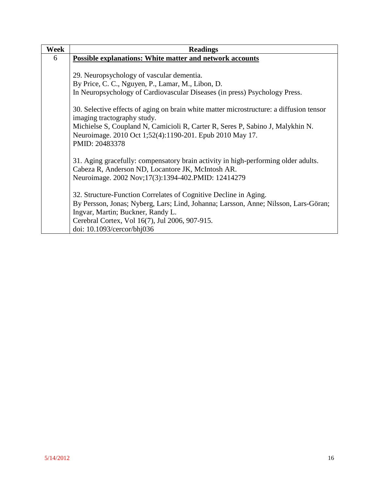| Week | <b>Readings</b>                                                                                                                                              |
|------|--------------------------------------------------------------------------------------------------------------------------------------------------------------|
| 6    | <b>Possible explanations: White matter and network accounts</b>                                                                                              |
|      |                                                                                                                                                              |
|      | 29. Neuropsychology of vascular dementia.                                                                                                                    |
|      | By Price, C. C., Nguyen, P., Lamar, M., Libon, D.                                                                                                            |
|      | In Neuropsychology of Cardiovascular Diseases (in press) Psychology Press.                                                                                   |
|      | 30. Selective effects of aging on brain white matter microstructure: a diffusion tensor<br>imaging tractography study.                                       |
|      | Michielse S, Coupland N, Camicioli R, Carter R, Seres P, Sabino J, Malykhin N.<br>Neuroimage. 2010 Oct 1;52(4):1190-201. Epub 2010 May 17.<br>PMID: 20483378 |
|      |                                                                                                                                                              |
|      | 31. Aging gracefully: compensatory brain activity in high-performing older adults.                                                                           |
|      | Cabeza R, Anderson ND, Locantore JK, McIntosh AR.                                                                                                            |
|      | Neuroimage. 2002 Nov;17(3):1394-402. PMID: 12414279                                                                                                          |
|      | 32. Structure-Function Correlates of Cognitive Decline in Aging.                                                                                             |
|      | By Persson, Jonas; Nyberg, Lars; Lind, Johanna; Larsson, Anne; Nilsson, Lars-Göran;                                                                          |
|      | Ingvar, Martin; Buckner, Randy L.                                                                                                                            |
|      | Cerebral Cortex, Vol 16(7), Jul 2006, 907-915.                                                                                                               |
|      | doi: 10.1093/cercor/bhj036                                                                                                                                   |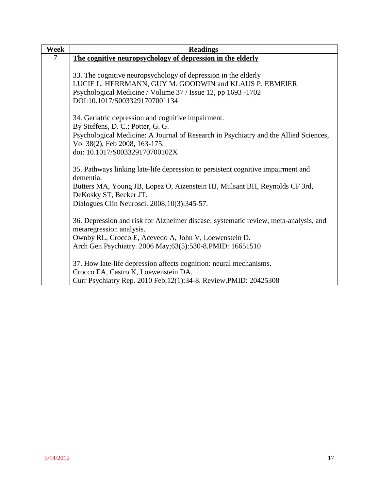| <b>Readings</b>                                                                               |
|-----------------------------------------------------------------------------------------------|
| The cognitive neuropsychology of depression in the elderly                                    |
|                                                                                               |
| 33. The cognitive neuropsychology of depression in the elderly                                |
| LUCIE L. HERRMANN, GUY M. GOODWIN and KLAUS P. EBMEIER                                        |
| Psychological Medicine / Volume 37 / Issue 12, pp 1693 -1702                                  |
| DOI:10.1017/S0033291707001134                                                                 |
| 34. Geriatric depression and cognitive impairment.                                            |
| By Steffens, D. C.; Potter, G. G.                                                             |
| Psychological Medicine: A Journal of Research in Psychiatry and the Allied Sciences,          |
| Vol 38(2), Feb 2008, 163-175.                                                                 |
| doi: 10.1017/S003329170700102X                                                                |
|                                                                                               |
| 35. Pathways linking late-life depression to persistent cognitive impairment and<br>dementia. |
| Butters MA, Young JB, Lopez O, Aizenstein HJ, Mulsant BH, Reynolds CF 3rd,                    |
| DeKosky ST, Becker JT.                                                                        |
| Dialogues Clin Neurosci. 2008;10(3):345-57.                                                   |
|                                                                                               |
| 36. Depression and risk for Alzheimer disease: systematic review, meta-analysis, and          |
| metaregression analysis.                                                                      |
| Ownby RL, Crocco E, Acevedo A, John V, Loewenstein D.                                         |
| Arch Gen Psychiatry. 2006 May; 63(5): 530-8. PMID: 16651510                                   |
| 37. How late-life depression affects cognition: neural mechanisms.                            |
| Crocco EA, Castro K, Loewenstein DA.                                                          |
| Curr Psychiatry Rep. 2010 Feb; 12(1): 34-8. Review. PMID: 20425308                            |
|                                                                                               |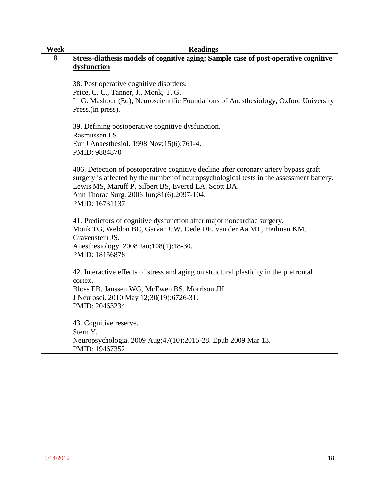| <b>Week</b> | <b>Readings</b>                                                                          |
|-------------|------------------------------------------------------------------------------------------|
| 8           | Stress-diathesis models of cognitive aging: Sample case of post-operative cognitive      |
|             | dysfunction                                                                              |
|             |                                                                                          |
|             | 38. Post operative cognitive disorders.                                                  |
|             | Price, C. C., Tanner, J., Monk, T. G.                                                    |
|             | In G. Mashour (Ed), Neuroscientific Foundations of Anesthesiology, Oxford University     |
|             | Press.(in press).                                                                        |
|             |                                                                                          |
|             | 39. Defining postoperative cognitive dysfunction.                                        |
|             | Rasmussen LS.                                                                            |
|             | Eur J Anaesthesiol. 1998 Nov; 15(6): 761-4.                                              |
|             | PMID: 9884870                                                                            |
|             |                                                                                          |
|             | 406. Detection of postoperative cognitive decline after coronary artery bypass graft     |
|             | surgery is affected by the number of neuropsychological tests in the assessment battery. |
|             | Lewis MS, Maruff P, Silbert BS, Evered LA, Scott DA.                                     |
|             | Ann Thorac Surg. 2006 Jun;81(6):2097-104.                                                |
|             | PMID: 16731137                                                                           |
|             |                                                                                          |
|             | 41. Predictors of cognitive dysfunction after major noncardiac surgery.                  |
|             | Monk TG, Weldon BC, Garvan CW, Dede DE, van der Aa MT, Heilman KM,                       |
|             | Gravenstein JS.                                                                          |
|             | Anesthesiology. 2008 Jan; 108(1): 18-30.                                                 |
|             | PMID: 18156878                                                                           |
|             |                                                                                          |
|             | 42. Interactive effects of stress and aging on structural plasticity in the prefrontal   |
|             | cortex.                                                                                  |
|             | Bloss EB, Janssen WG, McEwen BS, Morrison JH.                                            |
|             | J Neurosci. 2010 May 12;30(19):6726-31.                                                  |
|             | PMID: 20463234                                                                           |
|             | 43. Cognitive reserve.                                                                   |
|             | Stern Y.                                                                                 |
|             | Neuropsychologia. 2009 Aug; 47(10): 2015-28. Epub 2009 Mar 13.                           |
|             | PMID: 19467352                                                                           |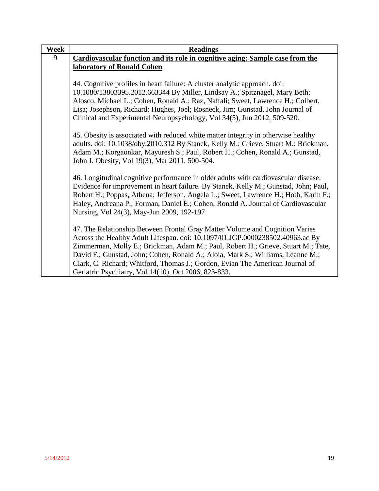| Week | <b>Readings</b>                                                                      |
|------|--------------------------------------------------------------------------------------|
| 9    | Cardiovascular function and its role in cognitive aging: Sample case from the        |
|      | laboratory of Ronald Cohen                                                           |
|      |                                                                                      |
|      | 44. Cognitive profiles in heart failure: A cluster analytic approach. doi:           |
|      | 10.1080/13803395.2012.663344 By Miller, Lindsay A.; Spitznagel, Mary Beth;           |
|      | Alosco, Michael L.; Cohen, Ronald A.; Raz, Naftali; Sweet, Lawrence H.; Colbert,     |
|      | Lisa; Josephson, Richard; Hughes, Joel; Rosneck, Jim; Gunstad, John Journal of       |
|      | Clinical and Experimental Neuropsychology, Vol 34(5), Jun 2012, 509-520.             |
|      |                                                                                      |
|      | 45. Obesity is associated with reduced white matter integrity in otherwise healthy   |
|      | adults. doi: 10.1038/oby.2010.312 By Stanek, Kelly M.; Grieve, Stuart M.; Brickman,  |
|      | Adam M.; Korgaonkar, Mayuresh S.; Paul, Robert H.; Cohen, Ronald A.; Gunstad,        |
|      | John J. Obesity, Vol 19(3), Mar 2011, 500-504.                                       |
|      |                                                                                      |
|      | 46. Longitudinal cognitive performance in older adults with cardiovascular disease:  |
|      | Evidence for improvement in heart failure. By Stanek, Kelly M.; Gunstad, John; Paul, |
|      | Robert H.; Poppas, Athena; Jefferson, Angela L.; Sweet, Lawrence H.; Hoth, Karin F.; |
|      | Haley, Andreana P.; Forman, Daniel E.; Cohen, Ronald A. Journal of Cardiovascular    |
|      | Nursing, Vol 24(3), May-Jun 2009, 192-197.                                           |
|      |                                                                                      |
|      | 47. The Relationship Between Frontal Gray Matter Volume and Cognition Varies         |
|      | Across the Healthy Adult Lifespan. doi: 10.1097/01.JGP.0000238502.40963.ac By        |
|      | Zimmerman, Molly E.; Brickman, Adam M.; Paul, Robert H.; Grieve, Stuart M.; Tate,    |
|      | David F.; Gunstad, John; Cohen, Ronald A.; Aloia, Mark S.; Williams, Leanne M.;      |
|      | Clark, C. Richard; Whitford, Thomas J.; Gordon, Evian The American Journal of        |
|      | Geriatric Psychiatry, Vol 14(10), Oct 2006, 823-833.                                 |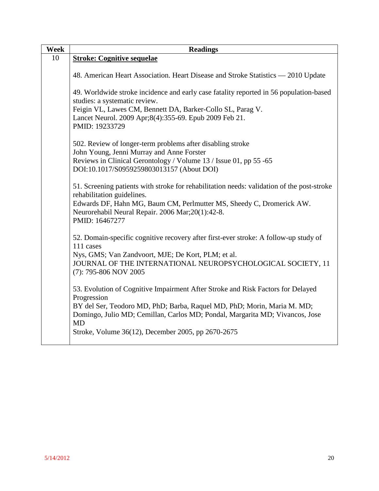| Week | <b>Readings</b>                                                                                                                                                                                                                                                                                                              |
|------|------------------------------------------------------------------------------------------------------------------------------------------------------------------------------------------------------------------------------------------------------------------------------------------------------------------------------|
| 10   | <b>Stroke: Cognitive sequelae</b>                                                                                                                                                                                                                                                                                            |
|      | 48. American Heart Association. Heart Disease and Stroke Statistics - 2010 Update                                                                                                                                                                                                                                            |
|      | 49. Worldwide stroke incidence and early case fatality reported in 56 population-based<br>studies: a systematic review.<br>Feigin VL, Lawes CM, Bennett DA, Barker-Collo SL, Parag V.<br>Lancet Neurol. 2009 Apr;8(4):355-69. Epub 2009 Feb 21.<br>PMID: 19233729                                                            |
|      | 502. Review of longer-term problems after disabling stroke<br>John Young, Jenni Murray and Anne Forster<br>Reviews in Clinical Gerontology / Volume 13 / Issue 01, pp 55 -65<br>DOI:10.1017/S0959259803013157 (About DOI)                                                                                                    |
|      | 51. Screening patients with stroke for rehabilitation needs: validation of the post-stroke<br>rehabilitation guidelines.<br>Edwards DF, Hahn MG, Baum CM, Perlmutter MS, Sheedy C, Dromerick AW.<br>Neurorehabil Neural Repair. 2006 Mar; 20(1): 42-8.<br>PMID: 16467277                                                     |
|      | 52. Domain-specific cognitive recovery after first-ever stroke: A follow-up study of<br>111 cases<br>Nys, GMS; Van Zandvoort, MJE; De Kort, PLM; et al.<br>JOURNAL OF THE INTERNATIONAL NEUROPSYCHOLOGICAL SOCIETY, 11<br>(7): 795-806 NOV 2005                                                                              |
|      | 53. Evolution of Cognitive Impairment After Stroke and Risk Factors for Delayed<br>Progression<br>BY del Ser, Teodoro MD, PhD; Barba, Raquel MD, PhD; Morin, Maria M. MD;<br>Domingo, Julio MD; Cemillan, Carlos MD; Pondal, Margarita MD; Vivancos, Jose<br><b>MD</b><br>Stroke, Volume 36(12), December 2005, pp 2670-2675 |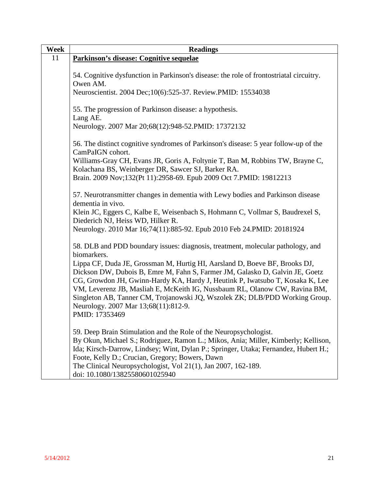| Week | <b>Readings</b>                                                                                                                                                           |
|------|---------------------------------------------------------------------------------------------------------------------------------------------------------------------------|
| 11   | Parkinson's disease: Cognitive sequelae                                                                                                                                   |
|      |                                                                                                                                                                           |
|      | 54. Cognitive dysfunction in Parkinson's disease: the role of frontostriatal circuitry.                                                                                   |
|      | Owen AM.                                                                                                                                                                  |
|      | Neuroscientist. 2004 Dec;10(6):525-37. Review.PMID: 15534038                                                                                                              |
|      |                                                                                                                                                                           |
|      | 55. The progression of Parkinson disease: a hypothesis.                                                                                                                   |
|      | Lang AE.                                                                                                                                                                  |
|      | Neurology. 2007 Mar 20;68(12):948-52. PMID: 17372132                                                                                                                      |
|      | 56. The distinct cognitive syndromes of Parkinson's disease: 5 year follow-up of the                                                                                      |
|      | CamPaIGN cohort.                                                                                                                                                          |
|      | Williams-Gray CH, Evans JR, Goris A, Foltynie T, Ban M, Robbins TW, Brayne C,                                                                                             |
|      | Kolachana BS, Weinberger DR, Sawcer SJ, Barker RA.                                                                                                                        |
|      | Brain. 2009 Nov;132(Pt 11):2958-69. Epub 2009 Oct 7.PMID: 19812213                                                                                                        |
|      |                                                                                                                                                                           |
|      | 57. Neurotransmitter changes in dementia with Lewy bodies and Parkinson disease                                                                                           |
|      | dementia in vivo.                                                                                                                                                         |
|      | Klein JC, Eggers C, Kalbe E, Weisenbach S, Hohmann C, Vollmar S, Baudrexel S,                                                                                             |
|      | Diederich NJ, Heiss WD, Hilker R.                                                                                                                                         |
|      | Neurology. 2010 Mar 16;74(11):885-92. Epub 2010 Feb 24. PMID: 20181924                                                                                                    |
|      | 58. DLB and PDD boundary issues: diagnosis, treatment, molecular pathology, and                                                                                           |
|      | biomarkers.                                                                                                                                                               |
|      | Lippa CF, Duda JE, Grossman M, Hurtig HI, Aarsland D, Boeve BF, Brooks DJ,                                                                                                |
|      | Dickson DW, Dubois B, Emre M, Fahn S, Farmer JM, Galasko D, Galvin JE, Goetz                                                                                              |
|      | CG, Growdon JH, Gwinn-Hardy KA, Hardy J, Heutink P, Iwatsubo T, Kosaka K, Lee                                                                                             |
|      | VM, Leverenz JB, Masliah E, McKeith IG, Nussbaum RL, Olanow CW, Ravina BM,                                                                                                |
|      | Singleton AB, Tanner CM, Trojanowski JQ, Wszolek ZK; DLB/PDD Working Group.                                                                                               |
|      | Neurology. 2007 Mar 13;68(11):812-9.                                                                                                                                      |
|      | PMID: 17353469                                                                                                                                                            |
|      |                                                                                                                                                                           |
|      | 59. Deep Brain Stimulation and the Role of the Neuropsychologist.                                                                                                         |
|      | By Okun, Michael S.; Rodriguez, Ramon L.; Mikos, Ania; Miller, Kimberly; Kellison,<br>Ida; Kirsch-Darrow, Lindsey; Wint, Dylan P.; Springer, Utaka; Fernandez, Hubert H.; |
|      |                                                                                                                                                                           |
|      |                                                                                                                                                                           |
|      |                                                                                                                                                                           |
|      | Foote, Kelly D.; Crucian, Gregory; Bowers, Dawn<br>The Clinical Neuropsychologist, Vol 21(1), Jan 2007, 162-189.<br>doi: 10.1080/13825580601025940                        |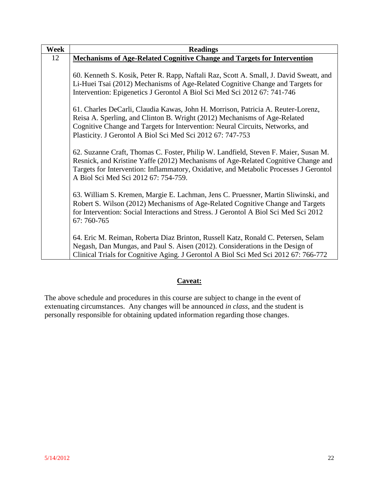| Week | <b>Readings</b>                                                                                                                                                                                                                                                                                              |
|------|--------------------------------------------------------------------------------------------------------------------------------------------------------------------------------------------------------------------------------------------------------------------------------------------------------------|
| 12   | <b>Mechanisms of Age-Related Cognitive Change and Targets for Intervention</b>                                                                                                                                                                                                                               |
|      |                                                                                                                                                                                                                                                                                                              |
|      | 60. Kenneth S. Kosik, Peter R. Rapp, Naftali Raz, Scott A. Small, J. David Sweatt, and                                                                                                                                                                                                                       |
|      | Li-Huei Tsai (2012) Mechanisms of Age-Related Cognitive Change and Targets for                                                                                                                                                                                                                               |
|      | Intervention: Epigenetics J Gerontol A Biol Sci Med Sci 2012 67: 741-746                                                                                                                                                                                                                                     |
|      | 61. Charles DeCarli, Claudia Kawas, John H. Morrison, Patricia A. Reuter-Lorenz,<br>Reisa A. Sperling, and Clinton B. Wright (2012) Mechanisms of Age-Related<br>Cognitive Change and Targets for Intervention: Neural Circuits, Networks, and<br>Plasticity. J Gerontol A Biol Sci Med Sci 2012 67: 747-753 |
|      | 62. Suzanne Craft, Thomas C. Foster, Philip W. Landfield, Steven F. Maier, Susan M.<br>Resnick, and Kristine Yaffe (2012) Mechanisms of Age-Related Cognitive Change and<br>Targets for Intervention: Inflammatory, Oxidative, and Metabolic Processes J Gerontol<br>A Biol Sci Med Sci 2012 67: 754-759.    |
|      | 63. William S. Kremen, Margie E. Lachman, Jens C. Pruessner, Martin Sliwinski, and<br>Robert S. Wilson (2012) Mechanisms of Age-Related Cognitive Change and Targets<br>for Intervention: Social Interactions and Stress. J Gerontol A Biol Sci Med Sci 2012<br>67: 760-765                                  |
|      | 64. Eric M. Reiman, Roberta Diaz Brinton, Russell Katz, Ronald C. Petersen, Selam<br>Negash, Dan Mungas, and Paul S. Aisen (2012). Considerations in the Design of<br>Clinical Trials for Cognitive Aging. J Gerontol A Biol Sci Med Sci 2012 67: 766-772                                                    |

# **Caveat:**

The above schedule and procedures in this course are subject to change in the event of extenuating circumstances. Any changes will be announced *in class*, and the student is personally responsible for obtaining updated information regarding those changes.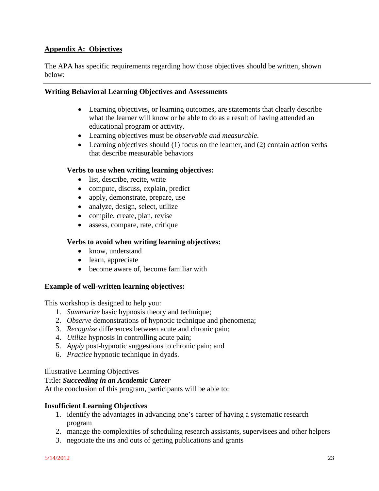# **Appendix A: Objectives**

The APA has specific requirements regarding how those objectives should be written, shown below:

## **Writing Behavioral Learning Objectives and Assessments**

- Learning objectives, or learning outcomes, are statements that clearly describe what the learner will know or be able to do as a result of having attended an educational program or activity.
- Learning objectives must be *observable and measurable*.
- Learning objectives should (1) focus on the learner, and (2) contain action verbs that describe measurable behaviors

#### **Verbs to use when writing learning objectives:**

- list, describe, recite, write
- compute, discuss, explain, predict
- apply, demonstrate, prepare, use
- analyze, design, select, utilize
- compile, create, plan, revise
- assess, compare, rate, critique

#### **Verbs to avoid when writing learning objectives:**

- know, understand
- learn, appreciate
- become aware of, become familiar with

#### **Example of well-written learning objectives:**

This workshop is designed to help you:

- 1. *Summarize* basic hypnosis theory and technique;
- 2. *Observe* demonstrations of hypnotic technique and phenomena;
- 3. *Recognize* differences between acute and chronic pain;
- 4. *Utilize* hypnosis in controlling acute pain;
- 5. *Apply* post-hypnotic suggestions to chronic pain; and
- 6. *Practice* hypnotic technique in dyads.

#### Illustrative Learning Objectives

#### Title**:** *Succeeding in an Academic Career*

At the conclusion of this program, participants will be able to:

#### **Insufficient Learning Objectives**

- 1. identify the advantages in advancing one's career of having a systematic research program
- 2. manage the complexities of scheduling research assistants, supervisees and other helpers
- 3. negotiate the ins and outs of getting publications and grants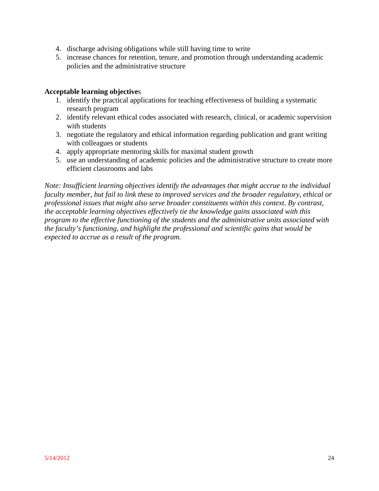- 4. discharge advising obligations while still having time to write
- 5. increase chances for retention, tenure, and promotion through understanding academic policies and the administrative structure

#### **Acceptable learning objective**s

- 1. identify the practical applications for teaching effectiveness of building a systematic research program
- 2. identify relevant ethical codes associated with research, clinical, or academic supervision with students
- 3. negotiate the regulatory and ethical information regarding publication and grant writing with colleagues or students
- 4. apply appropriate mentoring skills for maximal student growth
- 5. use an understanding of academic policies and the administrative structure to create more efficient classrooms and labs

*Note: Insufficient learning objectives identify the advantages that might accrue to the individual faculty member, but fail to link these to improved services and the broader regulatory, ethical or professional issues that might also serve broader constituents within this context. By contrast, the acceptable learning objectives effectively tie the knowledge gains associated with this program to the effective functioning of the students and the administrative units associated with the faculty's functioning, and highlight the professional and scientific gains that would be expected to accrue as a result of the program.*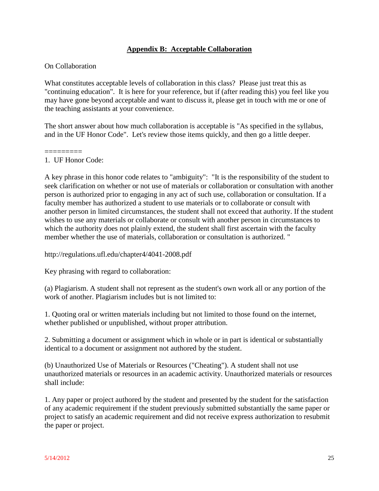### **Appendix B: Acceptable Collaboration**

#### On Collaboration

What constitutes acceptable levels of collaboration in this class? Please just treat this as "continuing education". It is here for your reference, but if (after reading this) you feel like you may have gone beyond acceptable and want to discuss it, please get in touch with me or one of the teaching assistants at your convenience.

The short answer about how much collaboration is acceptable is "As specified in the syllabus, and in the UF Honor Code". Let's review those items quickly, and then go a little deeper.

#### ========= 1. UF Honor Code:

A key phrase in this honor code relates to "ambiguity": "It is the responsibility of the student to seek clarification on whether or not use of materials or collaboration or consultation with another person is authorized prior to engaging in any act of such use, collaboration or consultation. If a faculty member has authorized a student to use materials or to collaborate or consult with another person in limited circumstances, the student shall not exceed that authority. If the student wishes to use any materials or collaborate or consult with another person in circumstances to which the authority does not plainly extend, the student shall first ascertain with the faculty member whether the use of materials, collaboration or consultation is authorized. "

http://regulations.ufl.edu/chapter4/4041-2008.pdf

Key phrasing with regard to collaboration:

(a) Plagiarism. A student shall not represent as the student's own work all or any portion of the work of another. Plagiarism includes but is not limited to:

1. Quoting oral or written materials including but not limited to those found on the internet, whether published or unpublished, without proper attribution.

2. Submitting a document or assignment which in whole or in part is identical or substantially identical to a document or assignment not authored by the student.

(b) Unauthorized Use of Materials or Resources ("Cheating"). A student shall not use unauthorized materials or resources in an academic activity. Unauthorized materials or resources shall include:

1. Any paper or project authored by the student and presented by the student for the satisfaction of any academic requirement if the student previously submitted substantially the same paper or project to satisfy an academic requirement and did not receive express authorization to resubmit the paper or project.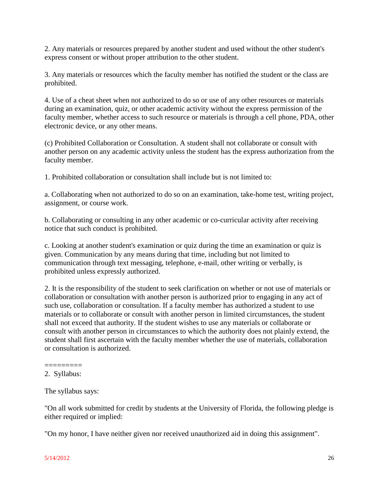2. Any materials or resources prepared by another student and used without the other student's express consent or without proper attribution to the other student.

3. Any materials or resources which the faculty member has notified the student or the class are prohibited.

4. Use of a cheat sheet when not authorized to do so or use of any other resources or materials during an examination, quiz, or other academic activity without the express permission of the faculty member, whether access to such resource or materials is through a cell phone, PDA, other electronic device, or any other means.

(c) Prohibited Collaboration or Consultation. A student shall not collaborate or consult with another person on any academic activity unless the student has the express authorization from the faculty member.

1. Prohibited collaboration or consultation shall include but is not limited to:

a. Collaborating when not authorized to do so on an examination, take-home test, writing project, assignment, or course work.

b. Collaborating or consulting in any other academic or co-curricular activity after receiving notice that such conduct is prohibited.

c. Looking at another student's examination or quiz during the time an examination or quiz is given. Communication by any means during that time, including but not limited to communication through text messaging, telephone, e-mail, other writing or verbally, is prohibited unless expressly authorized.

2. It is the responsibility of the student to seek clarification on whether or not use of materials or collaboration or consultation with another person is authorized prior to engaging in any act of such use, collaboration or consultation. If a faculty member has authorized a student to use materials or to collaborate or consult with another person in limited circumstances, the student shall not exceed that authority. If the student wishes to use any materials or collaborate or consult with another person in circumstances to which the authority does not plainly extend, the student shall first ascertain with the faculty member whether the use of materials, collaboration or consultation is authorized.

"On all work submitted for credit by students at the University of Florida, the following pledge is either required or implied:

"On my honor, I have neither given nor received unauthorized aid in doing this assignment".

<sup>=========</sup> 2. Syllabus:

The syllabus says: